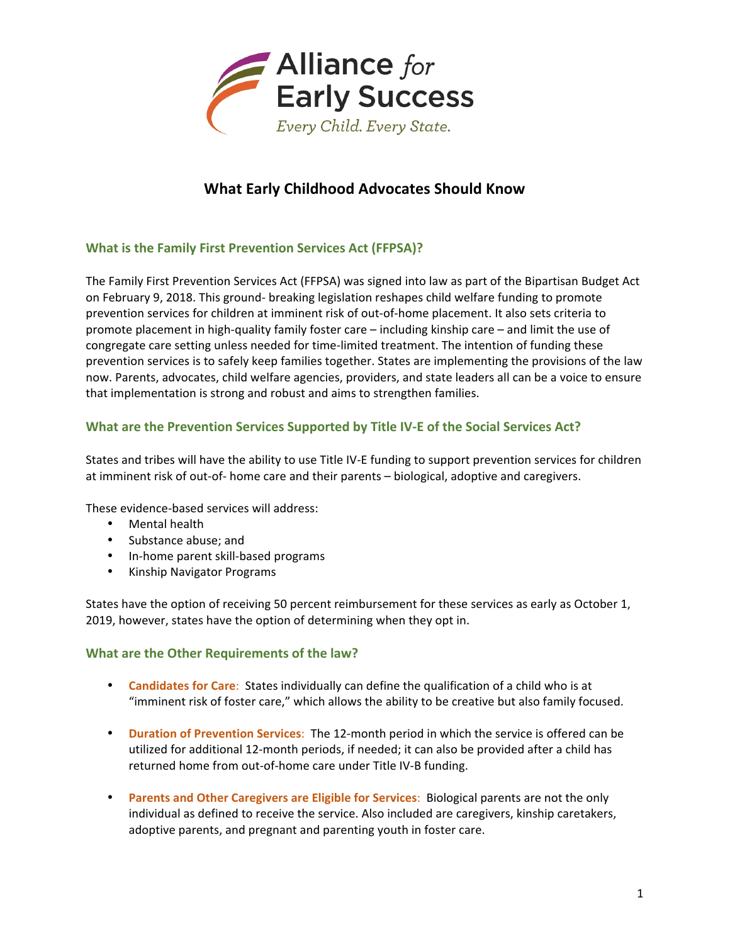

# **What Early Childhood Advocates Should Know**

## **What is the Family First Prevention Services Act (FFPSA)?**

The Family First Prevention Services Act (FFPSA) was signed into law as part of the Bipartisan Budget Act on February 9, 2018. This ground- breaking legislation reshapes child welfare funding to promote prevention services for children at imminent risk of out-of-home placement. It also sets criteria to promote placement in high-quality family foster care – including kinship care – and limit the use of congregate care setting unless needed for time-limited treatment. The intention of funding these prevention services is to safely keep families together. States are implementing the provisions of the law now. Parents, advocates, child welfare agencies, providers, and state leaders all can be a voice to ensure that implementation is strong and robust and aims to strengthen families.

### **What are the Prevention Services Supported by Title IV-E of the Social Services Act?**

States and tribes will have the ability to use Title IV-E funding to support prevention services for children at imminent risk of out-of- home care and their parents – biological, adoptive and caregivers.

These evidence-based services will address:

- **Mental health**
- Substance abuse; and
- In-home parent skill-based programs
- Kinship Navigator Programs

States have the option of receiving 50 percent reimbursement for these services as early as October 1, 2019, however, states have the option of determining when they opt in.

#### **What are the Other Requirements of the law?**

- **Candidates for Care**: States individually can define the qualification of a child who is at "imminent risk of foster care," which allows the ability to be creative but also family focused.
- Duration of Prevention Services: The 12-month period in which the service is offered can be utilized for additional 12-month periods, if needed; it can also be provided after a child has returned home from out-of-home care under Title IV-B funding.
- **Parents and Other Caregivers are Eligible for Services**: Biological parents are not the only individual as defined to receive the service. Also included are caregivers, kinship caretakers, adoptive parents, and pregnant and parenting youth in foster care.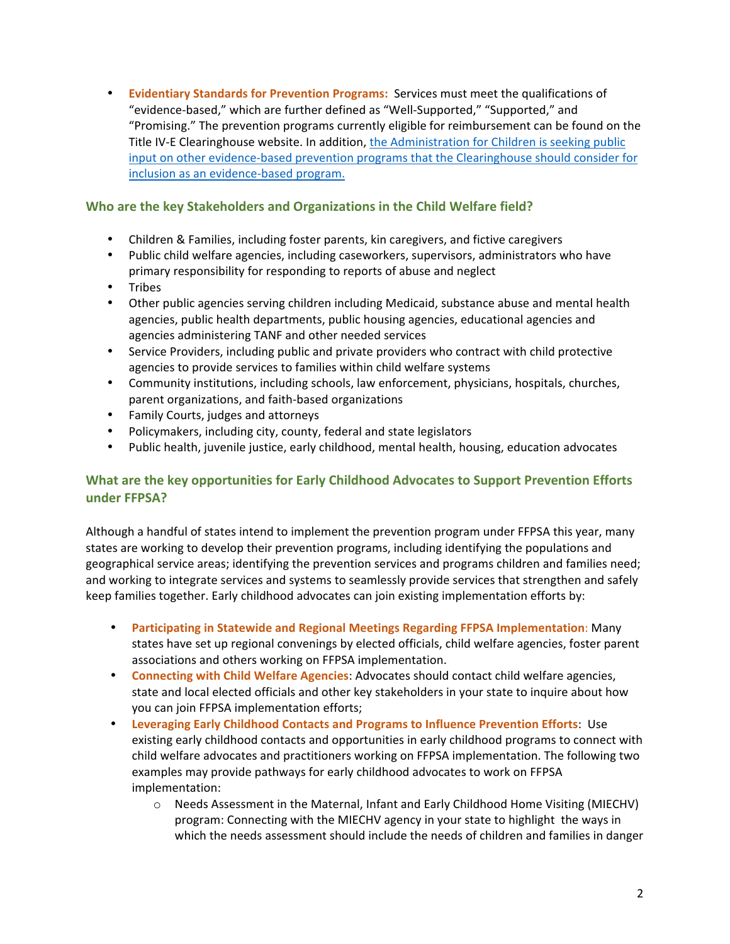• **Evidentiary Standards for Prevention Programs:** Services must meet the qualifications of "evidence-based," which are further defined as "Well-Supported," "Supported," and "Promising." The prevention programs currently eligible for reimbursement can be found on the Title IV-E Clearinghouse website. In addition, the Administration for Children is seeking public input on other evidence-based prevention programs that the Clearinghouse should consider for inclusion as an evidence-based program.

## Who are the key Stakeholders and Organizations in the Child Welfare field?

- Children & Families, including foster parents, kin caregivers, and fictive caregivers
- Public child welfare agencies, including caseworkers, supervisors, administrators who have primary responsibility for responding to reports of abuse and neglect
- Tribes
- Other public agencies serving children including Medicaid, substance abuse and mental health agencies, public health departments, public housing agencies, educational agencies and agencies administering TANF and other needed services
- Service Providers, including public and private providers who contract with child protective agencies to provide services to families within child welfare systems
- Community institutions, including schools, law enforcement, physicians, hospitals, churches, parent organizations, and faith-based organizations
- Family Courts, judges and attorneys
- Policymakers, including city, county, federal and state legislators
- Public health, juvenile justice, early childhood, mental health, housing, education advocates

## **What are the key opportunities for Early Childhood Advocates to Support Prevention Efforts** under **FFPSA?**

Although a handful of states intend to implement the prevention program under FFPSA this year, many states are working to develop their prevention programs, including identifying the populations and geographical service areas; identifying the prevention services and programs children and families need; and working to integrate services and systems to seamlessly provide services that strengthen and safely keep families together. Early childhood advocates can join existing implementation efforts by:

- **Participating in Statewide and Regional Meetings Regarding FFPSA Implementation:** Many states have set up regional convenings by elected officials, child welfare agencies, foster parent associations and others working on FFPSA implementation.
- **Connecting with Child Welfare Agencies:** Advocates should contact child welfare agencies, state and local elected officials and other key stakeholders in your state to inquire about how you can join FFPSA implementation efforts;
- **Leveraging Early Childhood Contacts and Programs to Influence Prevention Efforts:** Use existing early childhood contacts and opportunities in early childhood programs to connect with child welfare advocates and practitioners working on FFPSA implementation. The following two examples may provide pathways for early childhood advocates to work on FFPSA implementation:
	- $\circ$  Needs Assessment in the Maternal, Infant and Early Childhood Home Visiting (MIECHV) program: Connecting with the MIECHV agency in your state to highlight the ways in which the needs assessment should include the needs of children and families in danger